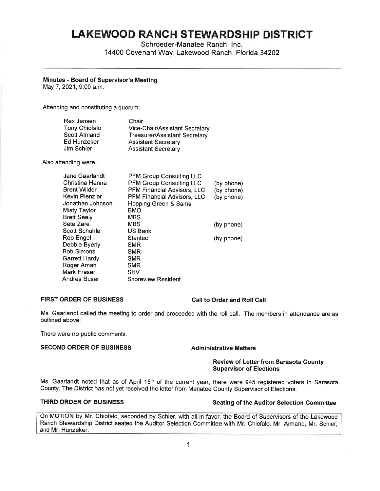# **LAKEWOOD RANCH STEWARDSHIP DISTRICT**

Schroeder-Manatee Ranch, Inc. 14400 Covenant Way, Lakewood Ranch, Florida 34202

# **Minutes** - **Board of Supervisor's Meeting**

May 7, 2021, 9:00 a.m.

Attending and constituting a quorum:

| Rex Jensen    | Chair                          |
|---------------|--------------------------------|
| Tony Chiofalo | Vice-Chair/Assistant Secretary |
| Scott Almand  | Treasurer/Assistant Secretary  |
| Ed Hunzeker   | <b>Assistant Secretary</b>     |
| Jim Schier    | <b>Assistant Secretary</b>     |

Also attending were:

| Jane Gaarlandt      | <b>PFM Group Consulting LLC</b>    |            |
|---------------------|------------------------------------|------------|
| Christina Hanna     | <b>PFM Group Consulting LLC</b>    | (by phone) |
| <b>Brent Wilder</b> | PFM Financial Advisors, LLC        | (by phone) |
| Kevin Plenzler      | <b>PFM Financial Advisors, LLC</b> | (by phone) |
| Jonathan Johnson    | Hopping Green & Sams               |            |
| <b>Misty Taylor</b> | BMO                                |            |
| <b>Brett Sealy</b>  | <b>MBS</b>                         |            |
| Sete Zare           | <b>MBS</b>                         | (by phone) |
| Scott Schuhle       | US Bank                            |            |
| Rob Engel           | Stantec                            | (by phone) |
| Debbie Byerly       | SMR                                |            |
| Bob Simons          | <b>SMR</b>                         |            |
| Garrett Hardy       | <b>SMR</b>                         |            |
| Roger Aman          | <b>SMR</b>                         |            |
| Mark Fraser         | <b>SHV</b>                         |            |
| Andres Buser        | <b>Shoreview Resident</b>          |            |

# **FIRST ORDER OF BUSINESS Call to Order and Roll Call**

Ms. Gaarlandt called the meeting to order and proceeded with the roll call. The members in attendance are as outlined above.

There were no public comments.

# **SECOND ORDER OF BUSINESS Administrative Matters**

# **Review of Letter from Sarasota County Supervisor of Elections**

Ms. Gaarlandt noted that as of April 15<sup>th</sup> of the current year, there were 945 registered voters in Sarasota County. The District has not yet received the letter from Manatee County Supervisor of Elections.

# **THIRD ORDER OF BUSINESS** Seating of the Auditor Selection Committee

On MOTION by Mr. Chiofalo, seconded by Schier, with all in favor, the Board of Supervisors of the Lakewood Ranch Stewardship District seated the Auditor Selection Committee with Mr. Chiofalo, Mr. Almand, Mr. Schier, and Mr. Hunzeker.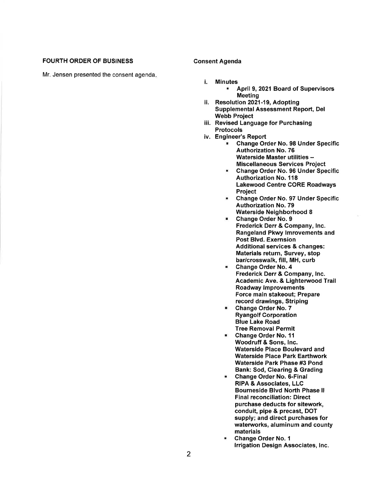### FOURTH ORDER OF BUSINESS

Mr. Jensen presented the consent agenda.

### Consent Agenda

- i. Minutes ■ April 9, 2021 Board of Supervisors
- Meeting ii. Resolution 2021-19, Adopting Supplemental Assessment Report, Del Webb Project
- iii. Revised Language for Purchasing Protocols
- iv. Engineer's Report
	- Change Order No. 98 Under Specific Authorization No. 76 Waterside Master utilities -Miscellaneous Services Project
	- Change Order No. 96 Under Specific Authorization No. 118 Lakewood Centre CORE Roadways Project
	- Change Order No. 97 Under Specific Authorization No. 79 Waterside Neighborhood 8
	- Change Order **No. 9**  Frederick Derr & Company, Inc. Rangeland Pkwy lmrovements and Post Blvd. Exernsion Additional services & changes: Materials return, Survey, stop bar/crosswalk, fill, MH, curb
	- Change Order No. 4 Frederick Derr & Company, Inc. Academic Ave. & Lighterwood Trail Roadway Improvements Force main stakeout; Prepare record drawings, Striping
	- Change Order No. 7 Ryangolf Corporation Blue Lake Road Tree Removal Permit
	- Change Order No. 11 Woodruff & Sons, Inc. Waterside Place Boulevard and Waterside Place Park Earthwork Waterside Park Phase #3 Pond Bank: Sod, Clearing & Grading
	- Change Order No. 6-Final **RIPA** & Associates, LLC Bourneside Blvd North Phase II Final reconciliation: Direct purchase deducts for sitework, conduit, pipe & precast, DOT supply; and direct purchases for waterworks, aluminum and county materials
	- Change Order No. 1 Irrigation Design Associates, Inc.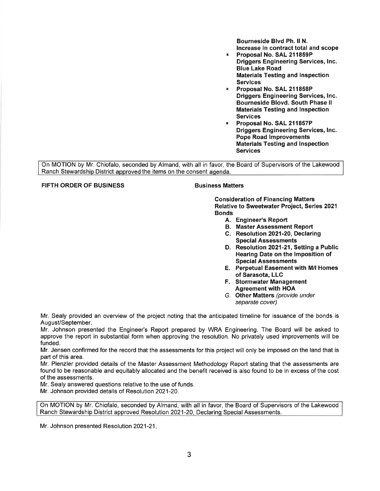Bourneside Blvd Ph. II **N.**  Increase in contract total and scope

- Proposal **No. SAL 211859P Driggers Engineering Services, Inc. Blue Lake Road Materials Testing and Inspection Services**
- **Proposal No. SAL 211858P Driggers Engineering Services, Inc. Bourneside Blovd. South Phase** II **Materials Testing and Inspection Services**
- **Proposal No. SAL 211857P Driggers Engineering Services, Inc. Pope Road Improvements Materials Testing and Inspection Services**

On MOTION by Mr. Chiofalo, seconded by Almand, with all in favor, the Board of Supervisors of the Lakewood Ranch Stewardship District approved the items on the consent agenda.

# **FIFTH ORDER OF BUSINESS Business Matters**

**Consideration of Financing Matters Relative to Sweetwater Project, Series 2021 Bonds** 

- **A. Engineer's Report**
- **B. Master Assessment Report**
- **C. Resolution 2021-20, Declaring Special Assessments**
- **D. Resolution 2021-21, Setting a Public Hearing Date on the Imposition of Special Assessments**
- **E. Perpetual Easement with M/1 Homes of Sarasota, LLC**
- F. **Stormwater Management Agreement with HOA**
- G. **Other Matters** (provide under separate cover)

Mr. Sealy provided an overview of the project noting that the anticipated timeline for issuance of the bonds is August/September.

Mr. Johnson presented the Engineer's Report prepared by WRA Engineering. The Board will be asked to approve the report in substantial form when approving the resolution. No privately used improvements will be funded.

Mr. Jensen confirmed for the record that the assessments for this project will only be imposed on the land that is part of this area.

Mr. Plenzler provided details of the Master Assessment Methodology Report stating that the assessments are found to be reasonable and equitably allocated and the benefit received is also found to be in excess of the cost of the assessments.

Mr. Sealy answered questions relative to the use of funds.

Mr. Johnson provided details of Resolution 2021-20.

On MOTION by Mr. Chiofalo, seconded by Almand, with all in favor, the Board of Supervisors of the Lakewood Ranch Stewardship District approved Resolution 2021-20, Declaring Special Assessments.

Mr. Johnson presented Resolution 2021-21.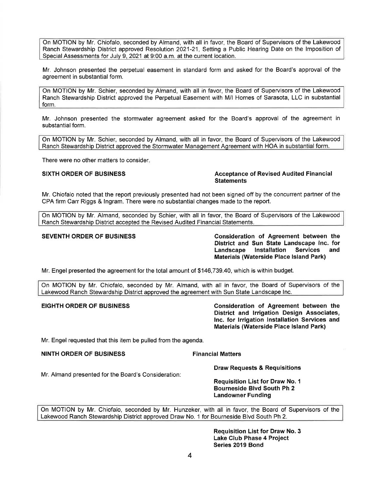On MOTION by Mr. Chiofalo, seconded by Almand, with all in favor, the Board of Supervisors of the Lakewood Ranch Stewardship District approved Resolution 2021-21, Setting a Public Hearing Date on the Imposition of Special Assessments for July 9, 2021 at 9:00 a.m. at the current location.

Mr. Johnson presented the perpetual easement in standard form and asked for the Board's approval of the agreement in substantial form.

On MOTION by Mr. Schier, seconded by Almand, with all in favor, the Board of Supervisors of the Lakewood Ranch Stewardship District approved the Perpetual Easement with M/1 Homes of Sarasota, LLC in substantial form.

Mr. Johnson presented the stormwater agreement asked for the Board's approval of the agreement in substantial form.

On MOTION by Mr. Schier, seconded by Almand, with all in favor, the Board of Supervisors of the Lakewood Ranch Stewardship District approved the Stormwater Management Agreement with HOA in substantial form.

There were no other matters to consider.

**SIXTH ORDER OF BUSINESS Acceptance of Revised Audited Financial Statements** 

Mr. Chiofalo noted that the report previously presented had not been signed off by the concurrent partner of the CPA firm Carr Riggs & Ingram. There were no substantial changes made to the report.

On MOTION by Mr. Almand, seconded by Schier, with all in favor, the Board of Supervisors of the Lakewood Ranch Stewardship District accepted the Revised Audited Financial Statements.

SEVENTH ORDER OF BUSINESS **Consideration of Agreement between the District and Sun State Landscape Inc. for Landscape Installation Services and Materials {Waterside Place Island Park)** 

Mr. Engel presented the agreement for the total amount of \$[146,739.40,](https://146,739.40) which is within budget.

On MOTION by Mr. Chiofalo, seconded by Mr. Almand, with all in favor, the Board of Supervisors of the Lakewood Ranch Stewardship District approved the agreement with Sun State Landscape Inc.

**EIGHTH ORDER OF BUSINESS Consideration of Agreement between the District and Irrigation Design Associates, Inc. for Irrigation Installation Services and Materials {Waterside Place Island Park)** 

Mr. Engel requested that this item be pulled from the agenda.

**NINTH ORDER OF BUSINESS Financial Matters** 

Mr. Almand presented for the Board's Consideration:

**Draw Requests** & **Requisitions** 

**Requisition List for Draw No. 1 Bourneside Blvd South Ph 2 Landowner Funding** 

On MOTION by Mr. Chiofalo, seconded by Mr. Hunzeker, with all in favor, the Board of Supervisors of the Lakewood Ranch Stewardship District approved Draw No. 1 for Bourneside Blvd South Ph 2.

> **Requisition List for Draw No. 3 Lake Club Phase 4 Project Series 2019 Bond**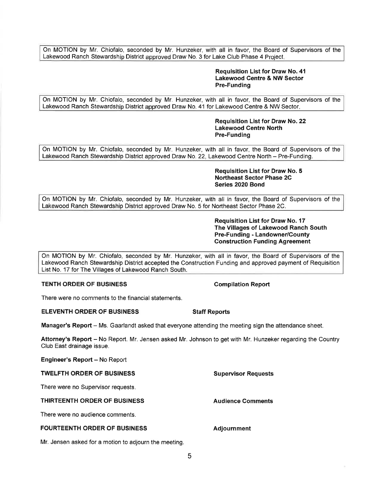On MOTION by Mr. Chiofalo, seconded by Mr. Hunzeker, with all in favor, the Board of Supervisors of the Lakewood Ranch Stewardship District approved Draw No. 3 for Lake Club Phase 4 Project.

### **Requisition List for Draw No. 41 Lakewood Centre & NW Sector Pre-Funding**

On MOTION by Mr. Chiofalo, seconded by Mr. Hunzeker, with all in favor, the Board of Supervisors of the Lakewood Ranch Stewardship District approved Draw No. 41 for Lakewood Centre & NW Sector.

### **Requisition List for Draw No. 22 Lakewood Centre North Pre-Funding**

On MOTION by Mr. Chiofalo, seconded by Mr. Hunzeker, with all in favor, the Board of Supervisors of the Lakewood Ranch Stewardship District approved Draw No. 22, Lakewood Centre North - Pre-Funding.

### **Requisition List for Draw No. 5 Northeast Sector Phase 2C Series 2020 Bond**

On MOTION by Mr. Chiofalo, seconded by Mr. Hunzeker, with all in favor, the Board of Supervisors of the Lakewood Ranch Stewardship District approved Draw No. 5 for Northeast Sector Phase 2C.

> **Requisition List for Draw No. 17 The Villages of Lakewood Ranch South Pre-Funding - Landowner/County Construction Funding Agreement**

On MOTION by Mr. Chiofalo, seconded by Mr. Hunzeker, with all in favor, the Board of Supervisors of the Lakewood Ranch Stewardship District accepted the Construction Funding and approved payment of Requisition List No. 17 for The Villages of Lakewood Ranch South.

# **TENTH ORDER OF BUSINESS COMPILATION COMPILATION Report**

There were no comments to the financial statements.

### **ELEVENTH ORDER OF BUSINESS STATES** Staff Reports

**Manager's Report** - Ms. Gaarlandt asked that everyone attending the meeting sign the attendance sheet.

**Attorney's Report** - No Report. Mr. Jensen asked Mr. Johnson to get with Mr. Hunzeker regarding the Country Club East drainage issue.

**Engineer's Report - No Report** 

### **TWELFTH ORDER OF BUSINESS**

There were no Supervisor requests.

### **THIRTEENTH ORDER OF BUSINESS**

There were no audience comments.

### **FOURTEENTH ORDER OF BUSINESS**

Mr. Jensen asked for a motion to adjourn the meeting.

**Audience Comments** 

**Supervisor Requests** 

**Adjournment**